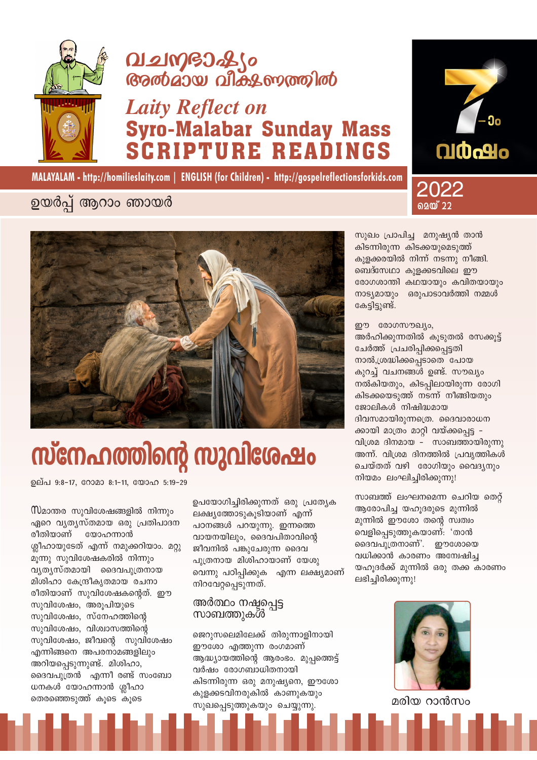

## വചനഭാഷ്യം **Gradias allos moraldo**

## **Laity Reflect on Syro-Malabar Sunday Mass PTURE READINGS**





### ഉയർപ്പ് ആറാം ഞായർ



# സ്നേഹത്തിന്റെ സുവിശേഷം

ഉല്പ 9:8-17, റോമാ 8:1-11, യോഹ 5:19-29

ഏറെ വ്യത്യസ്തമായ ഒരു പ്രതിപാദന രീതിയാണ് യോഹന്നാൻ ശ്ലീഹായുടേത് എന്ന് നമുക്കറിയാം. മറ്റു മുന്നു സുവിശേഷകരിൽ നിന്നും വൃത്യസ്തമായി ദൈവപുത്രനായ മിശിഹാ കേന്ദ്രീകൃതമായ രചനാ രീതിയാണ് സുവിശേഷകന്റെത്. ഈ സുവിശേഷം, അരുപിയുടെ സുവിശേഷം, സ്നേഹത്തിന്റെ സുവിശേഷം, വിശ്വാസത്തിന്റെ സുവിശേഷം, ജീവന്റെ സുവിശേഷം എന്നിങ്ങനെ അപരനാമങ്ങളിലും അറിയപ്പെടുന്നുണ്ട്. മിശിഹാ, ദൈവപുത്രൻ എന്നീ രണ്ട് സംബോ ധനകൾ യോഹന്നാൻ ശ്ലീഹാ തെരഞ്ഞെടുത്ത് കൂടെ കൂടെ

ഉപയോഗിച്ചിരിക്കുന്നത് ഒരു പ്രത്യേക ലക്ഷ്യത്തോടുകൂടിയാണ് എന്ന് പഠനങ്ങൾ പറയുന്നു. ഇന്നത്തെ വായനയിലും, ദൈവപിതാവിന്റെ ജീവനിൽ പങ്കുചേരുന്ന ദൈവ പ്പുത്രനായ മിശിഹായാണ് യേശു വെന്നു പഠിപ്പിക്കുക എന്ന ലക്ഷ്യമാണ് നിറവേറ്റപ്പെടുന്നത്.

#### അർത്ഥം നഷ്ടപ്പെട്ട സാബത്തുകൾ

ജെറുസലെമിലേക്ക് തിരുന്നാളിനായി ഈശോ എത്തുന്ന രംഗമാണ് ആദ്ധ്യായത്തിന്റെ ആരംഭം. മുപ്പത്തെട്ട് വർഷം രോഗബാധിതനായി കിടന്നിരുന്ന ഒരു മനുഷ്യനെ, ഈശോ കുളക്കടവിനരുകിൽ കാണുകയും സുഖപ്പെടുത്തുകയും ചെയ്യുന്നു.

സുഖം പ്രാപിച്ച മനുഷ്യൻ താൻ കിടന്നിരുന്ന കിടക്കയുമെടുത്ത് കുളക്കരയിൽ നിന്ന് നടന്നു നീങ്ങി. ബെദ്സേഥാ കുളക്കടവിലെ ഈ രോഗശാന്തി കഥയായും കവിതയായും നാട്യമായും ഒരുപാടാവർത്തി നമ്മൾ കേട്ടിട്ടുണ്ട്.

മെയ് 22

ഈ രോഗസൗഖ്യം, അർഹിക്കുന്നതിൽ കുടുതൽ രസക്കുട്ട് ചേർത്ത് പ്രചരിപ്പിക്കപ്പെട്ടതി നാൽ,ശ്രദ്ധിക്കപ്പെടാതെ പോയ കുറച്ച വചനങ്ങൾ ഉണ്ട്. സൗഖ്യം നൽകിയതും, കിടപ്പിലായിരുന്ന രോഗി കിടക്കയെടുത്ത് നടന്ന് നീങ്ങിയതും ജോലികൾ നിഷിദ്ധമായ ദിവസമായിരുന്നത്രെ. ദൈവാരാധന ക്കായി മാത്രം മാറ്റി വയ്ക്കപ്പെട്ട -വിശ്രമ ദിനമായ - സാബത്തായിരുന്നു അന്ന്. വിശ്രമ ദിനത്തിൽ പ്രവ്യത്തികൾ ചെയ്തത് വഴി രോഗിയും വൈദൃനും നിയമം ലംഘിച്ചിരിക്കുന്നു!

സാബത്ത് ലംഘനമെന്ന ചെറിയ തെറ്റ് ആരോപിച്ച യഹുദരുടെ മുന്നിൽ മുന്നിൽ ഈശോ തന്റെ സ്വത്വം വെളിപ്പെടുത്തുകയാണ്: 'താൻ ദൈവപുത്രനാണ്'. ഈശോയെ വധിക്കാൻ കാരണം അന്വേഷിച്ച യഹൂദർക്ക് മുന്നിൽ ഒരു തക്ക കാരണം ലഭിച്ചിരിക്കുന്നു!



മരിയ റാൻസം